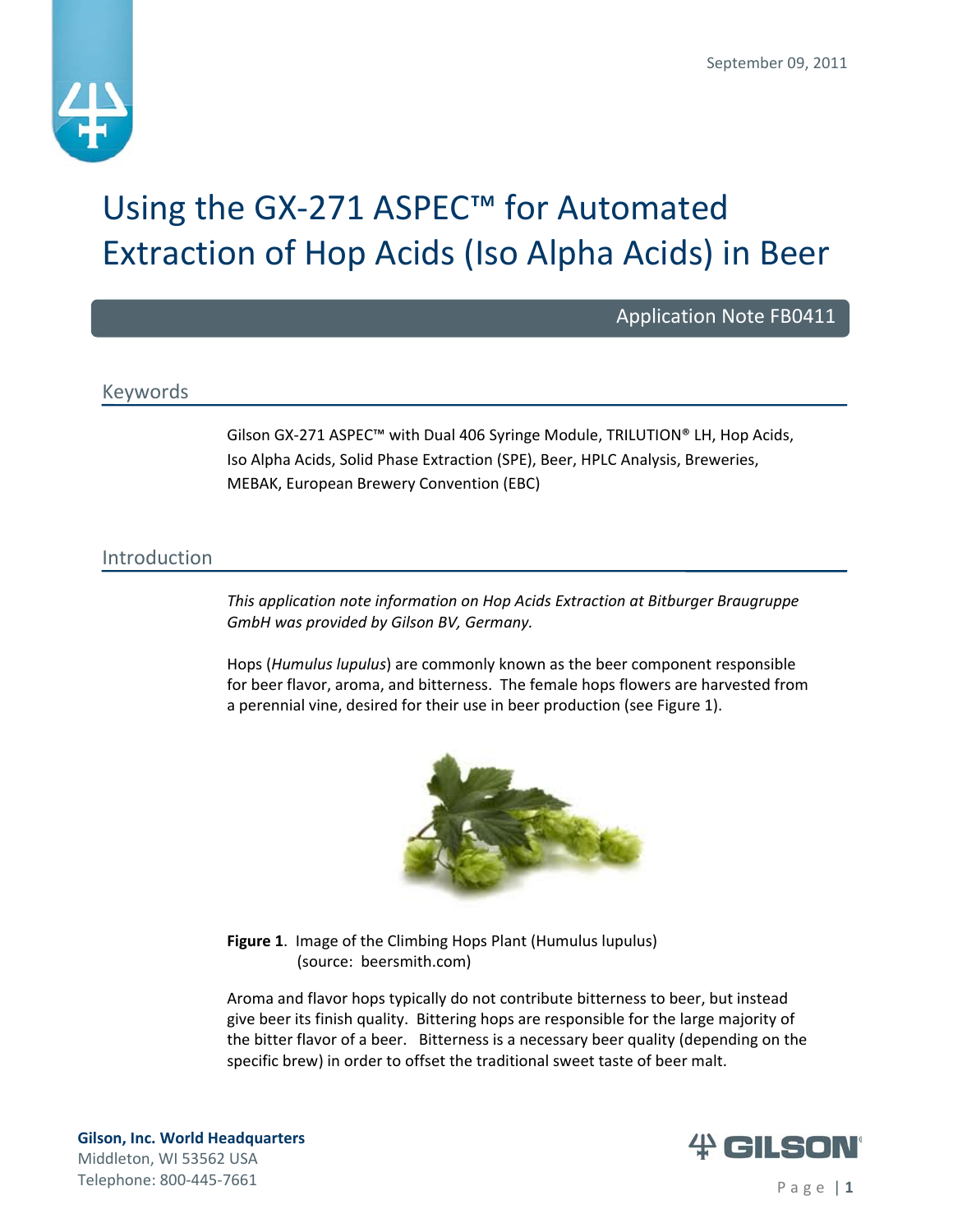

# Using the GX‐271 ASPEC™ for Automated Extraction of Hop Acids (Iso Alpha Acids) in Beer

Application Note FB0411

# Keywords

Gilson GX‐271 ASPEC™ with Dual 406 Syringe Module, TRILUTION® LH, Hop Acids, Iso Alpha Acids, Solid Phase Extraction (SPE), Beer, HPLC Analysis, Breweries, MEBAK, European Brewery Convention (EBC)

# Introduction

*This application note information on Hop Acids Extraction at Bitburger Braugruppe GmbH was provided by Gilson BV, Germany.*

Hops (*Humulus lupulus*) are commonly known as the beer component responsible for beer flavor, aroma, and bitterness. The female hops flowers are harvested from a perennial vine, desired for their use in beer production (see Figure 1).



**Figure 1**. Image of the Climbing Hops Plant (Humulus lupulus) (source: beersmith.com)

Aroma and flavor hops typically do not contribute bitterness to beer, but instead give beer its finish quality. Bittering hops are responsible for the large majority of the bitter flavor of a beer. Bitterness is a necessary beer quality (depending on the specific brew) in order to offset the traditional sweet taste of beer malt.

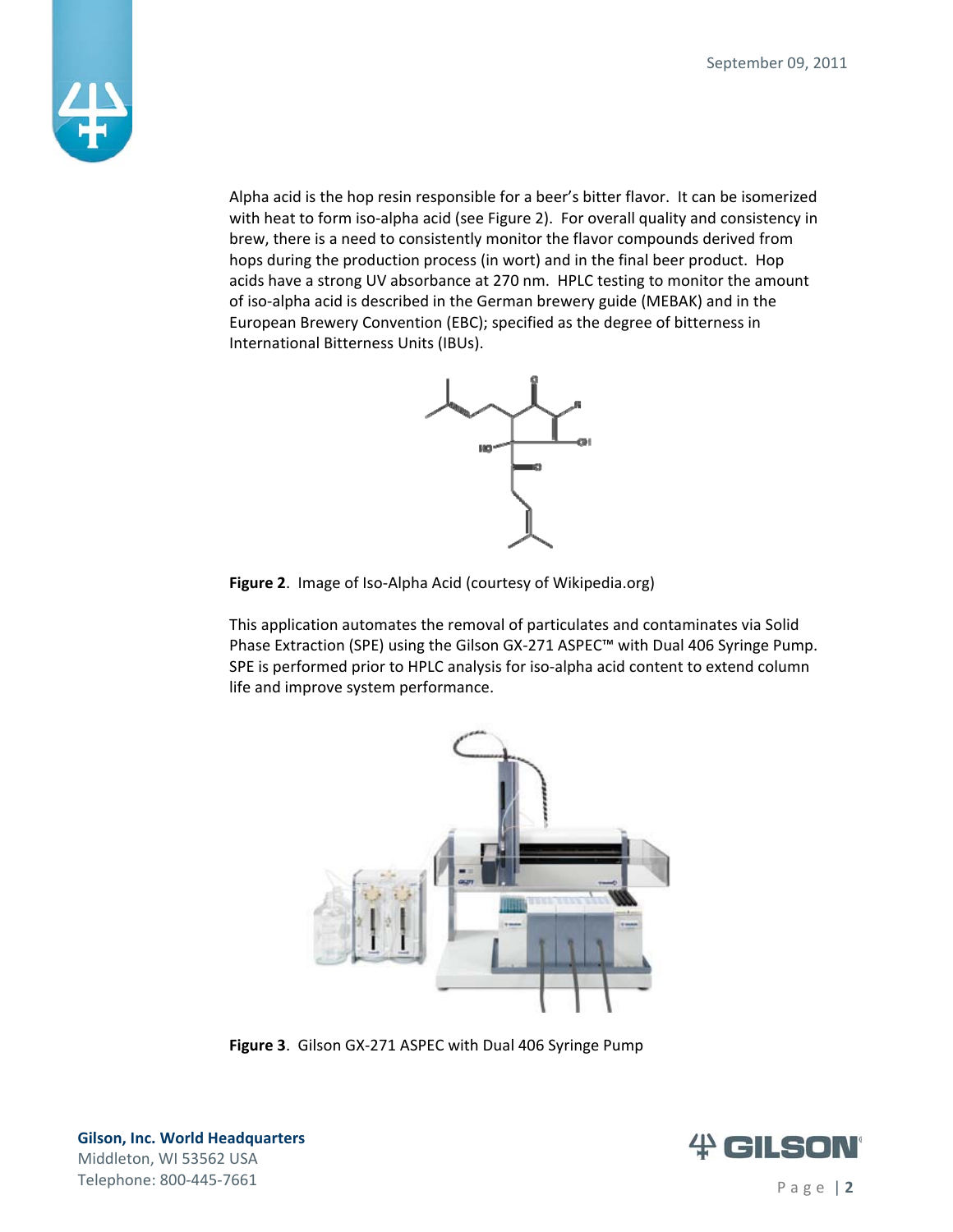

Alpha acid is the hop resin responsible for a beer's bitter flavor. It can be isomerized with heat to form iso-alpha acid (see Figure 2). For overall quality and consistency in brew, there is a need to consistently monitor the flavor compounds derived from hops during the production process (in wort) and in the final beer product. Hop acids have a strong UV absorbance at 270 nm. HPLC testing to monitor the amount of iso‐alpha acid is described in the German brewery guide (MEBAK) and in the European Brewery Convention (EBC); specified as the degree of bitterness in International Bitterness Units (IBUs).



**Figure 2**. Image of Iso‐Alpha Acid (courtesy of Wikipedia.org)

This application automates the removal of particulates and contaminates via Solid Phase Extraction (SPE) using the Gilson GX‐271 ASPEC™ with Dual 406 Syringe Pump. SPE is performed prior to HPLC analysis for iso-alpha acid content to extend column life and improve system performance.



**Figure 3**. Gilson GX‐271 ASPEC with Dual 406 Syringe Pump

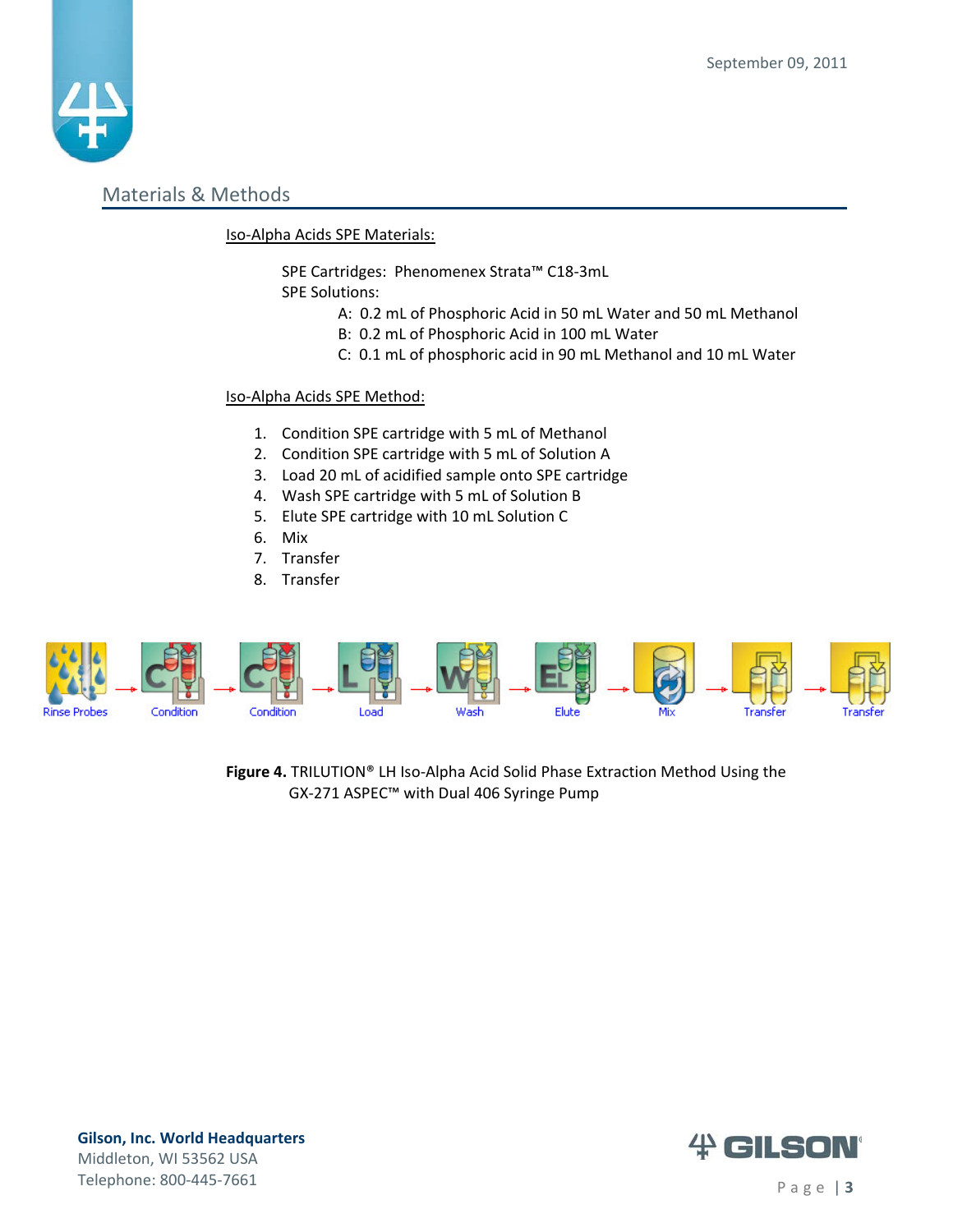

## Materials & Methods

#### Iso‐Alpha Acids SPE Materials:

SPE Cartridges: Phenomenex Strata™ C18‐3mL

SPE Solutions:

- A: 0.2 mL of Phosphoric Acid in 50 mL Water and 50 mL Methanol
- B: 0.2 mL of Phosphoric Acid in 100 mL Water
- C: 0.1 mL of phosphoric acid in 90 mL Methanol and 10 mL Water

### Iso‐Alpha Acids SPE Method:

- 1. Condition SPE cartridge with 5 mL of Methanol
- 2. Condition SPE cartridge with 5 mL of Solution A
- 3. Load 20 mL of acidified sample onto SPE cartridge
- 4. Wash SPE cartridge with 5 mL of Solution B
- 5. Elute SPE cartridge with 10 mL Solution C
- 6. Mix
- 7. Transfer
- 8. Transfer



**Figure 4.** TRILUTION® LH Iso‐Alpha Acid Solid Phase Extraction Method Using the GX‐271 ASPEC™ with Dual 406 Syringe Pump



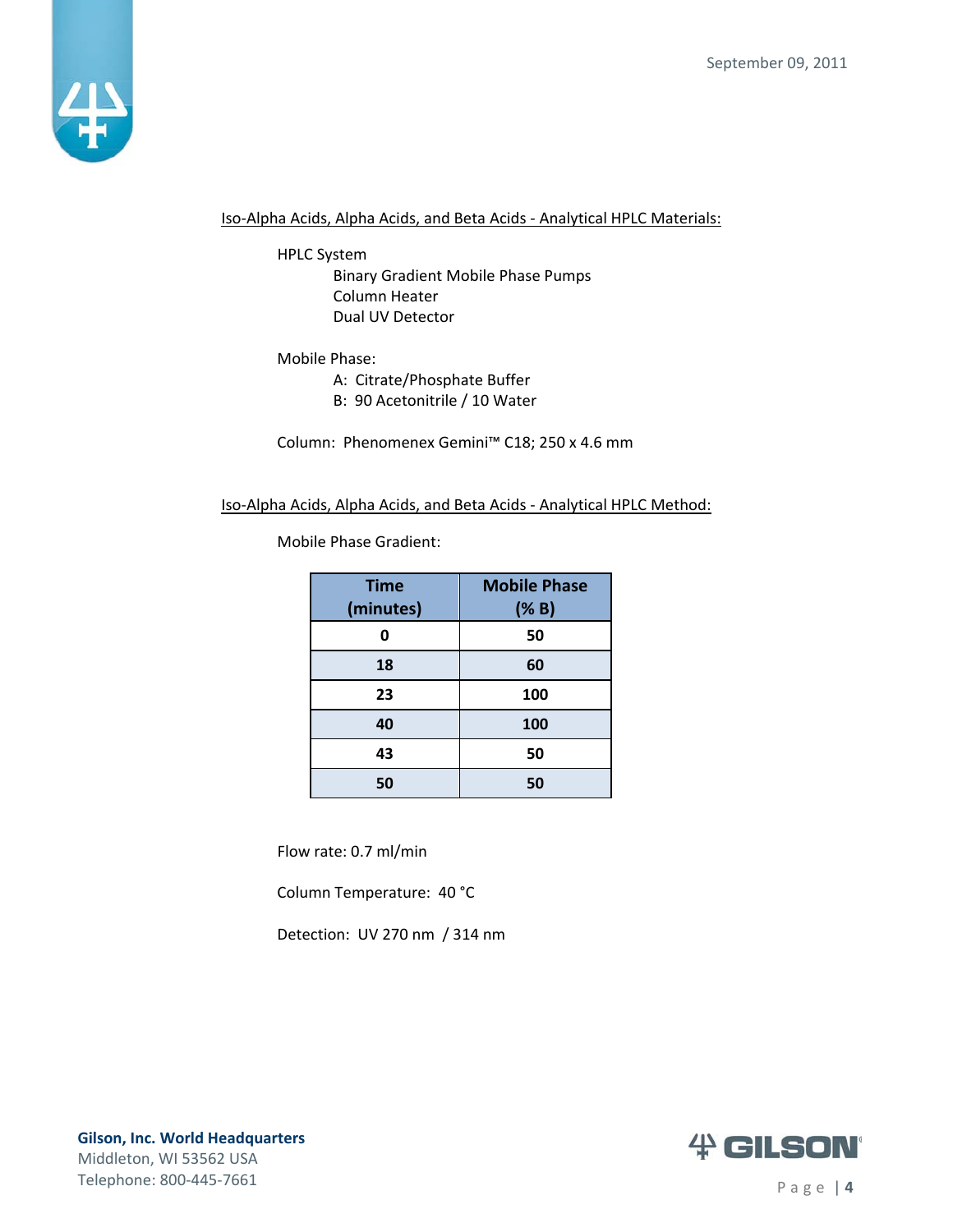

Iso‐Alpha Acids, Alpha Acids, and Beta Acids ‐ Analytical HPLC Materials:

HPLC System

Binary Gradient Mobile Phase Pumps Column Heater Dual UV Detector

#### Mobile Phase:

A: Citrate/Phosphate Buffer

B: 90 Acetonitrile / 10 Water

Column: Phenomenex Gemini™ C18; 250 x 4.6 mm

#### Iso‐Alpha Acids, Alpha Acids, and Beta Acids ‐ Analytical HPLC Method:

Mobile Phase Gradient:

| <b>Time</b><br>(minutes) | <b>Mobile Phase</b><br>(% B) |
|--------------------------|------------------------------|
| Ω                        | 50                           |
| 18                       | 60                           |
| 23                       | 100                          |
| 40                       | 100                          |
| 43                       | 50                           |
| 50                       | 50                           |

Flow rate: 0.7 ml/min

Column Temperature: 40 °C

Detection: UV 270 nm / 314 nm



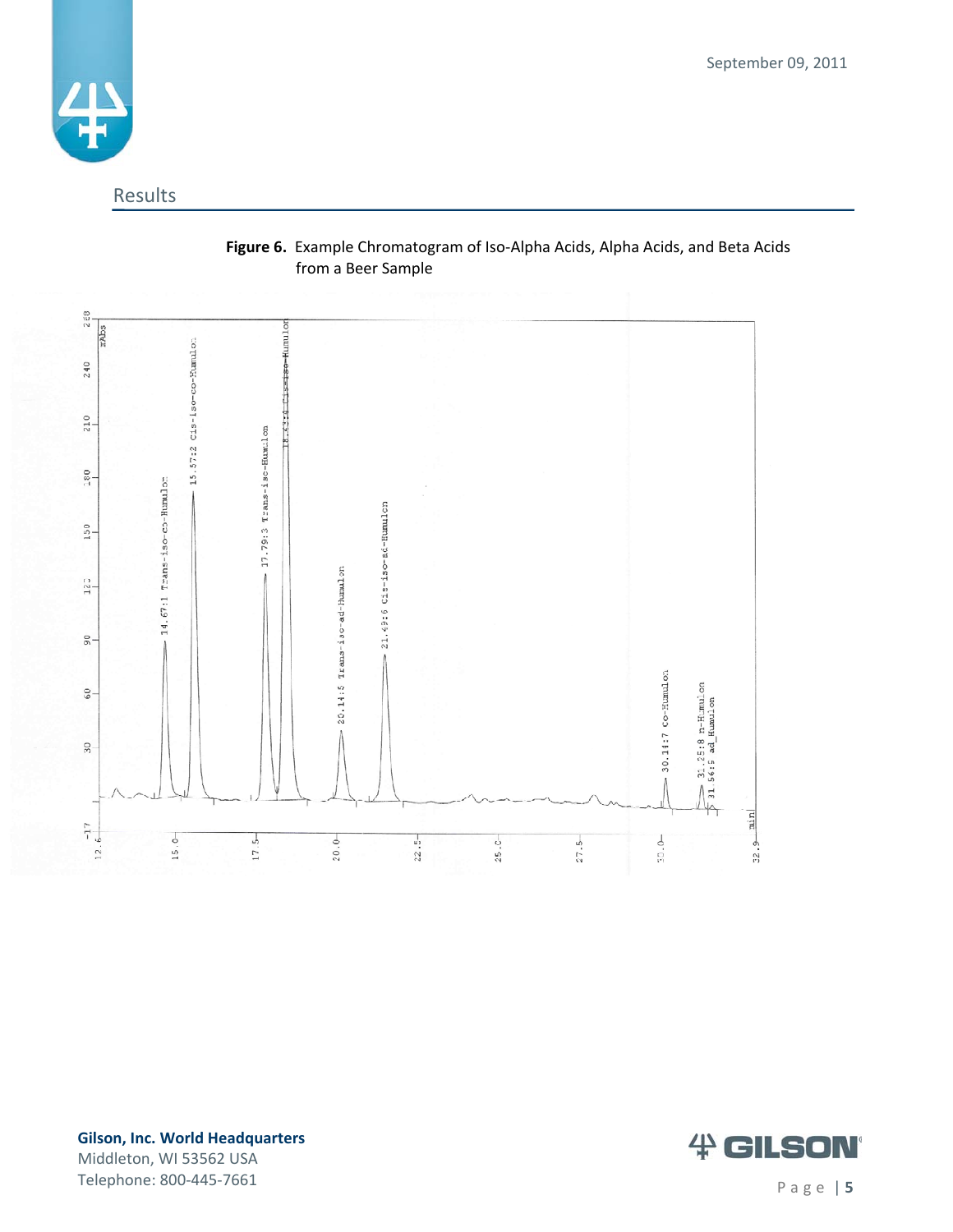September 09, 2011



# Results



## **Figure 6.** Example Chromatogram of Iso‐Alpha Acids, Alpha Acids, and Beta Acids from a Beer Sample